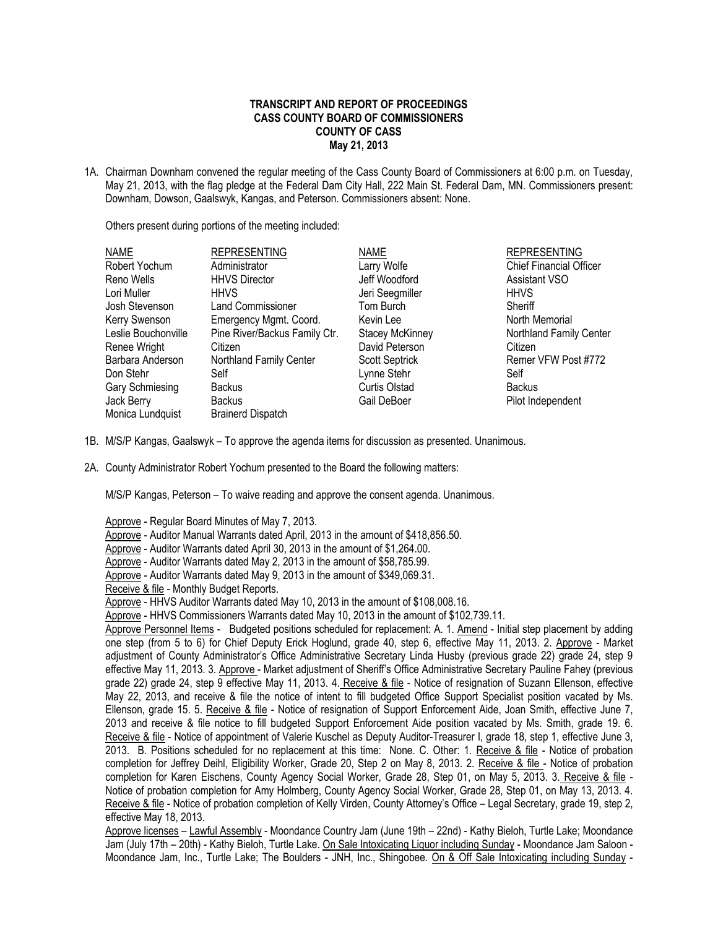## **TRANSCRIPT AND REPORT OF PROCEEDINGS CASS COUNTY BOARD OF COMMISSIONERS COUNTY OF CASS May 21, 2013**

1A. Chairman Downham convened the regular meeting of the Cass County Board of Commissioners at 6:00 p.m. on Tuesday, May 21, 2013, with the flag pledge at the Federal Dam City Hall, 222 Main St. Federal Dam, MN. Commissioners present: Downham, Dowson, Gaalswyk, Kangas, and Peterson. Commissioners absent: None.

Others present during portions of the meeting included:

| <b>NAME</b>         | <b>REPRESENTING</b>           | <b>NAME</b>            | <b>REPRESENTING</b>            |
|---------------------|-------------------------------|------------------------|--------------------------------|
| Robert Yochum       | Administrator                 | Larry Wolfe            | <b>Chief Financial Officer</b> |
| Reno Wells          | <b>HHVS Director</b>          | Jeff Woodford          | <b>Assistant VSO</b>           |
| Lori Muller         | <b>HHVS</b>                   | Jeri Seegmiller        | <b>HHVS</b>                    |
| Josh Stevenson      | <b>Land Commissioner</b>      | Tom Burch              | Sheriff                        |
| Kerry Swenson       | Emergency Mgmt. Coord.        | Kevin Lee              | North Memorial                 |
| Leslie Bouchonville | Pine River/Backus Family Ctr. | <b>Stacey McKinney</b> | Northland Family Center        |
| Renee Wright        | Citizen                       | David Peterson         | Citizen                        |
| Barbara Anderson    | Northland Family Center       | <b>Scott Septrick</b>  | Remer VFW Post #772            |
| Don Stehr           | Self                          | Lynne Stehr            | Self                           |
| Gary Schmiesing     | <b>Backus</b>                 | Curtis Olstad          | <b>Backus</b>                  |
| Jack Berry          | <b>Backus</b>                 | Gail DeBoer            | Pilot Independent              |
| Monica Lundquist    | <b>Brainerd Dispatch</b>      |                        |                                |

- 1B. M/S/P Kangas, Gaalswyk To approve the agenda items for discussion as presented. Unanimous.
- 2A. County Administrator Robert Yochum presented to the Board the following matters:

M/S/P Kangas, Peterson – To waive reading and approve the consent agenda. Unanimous.

Approve - Regular Board Minutes of May 7, 2013. Approve - Auditor Manual Warrants dated April, 2013 in the amount of \$418,856.50. Approve - Auditor Warrants dated April 30, 2013 in the amount of \$1,264.00. Approve - Auditor Warrants dated May 2, 2013 in the amount of \$58,785.99. Approve - Auditor Warrants dated May 9, 2013 in the amount of \$349,069.31. Receive & file - Monthly Budget Reports. Approve - HHVS Auditor Warrants dated May 10, 2013 in the amount of \$108,008.16. Approve - HHVS Commissioners Warrants dated May 10, 2013 in the amount of \$102,739.11. Approve Personnel Items - Budgeted positions scheduled for replacement: A. 1. Amend - Initial step placement by adding one step (from 5 to 6) for Chief Deputy Erick Hoglund, grade 40, step 6, effective May 11, 2013. 2. Approve - Market adjustment of County Administrator's Office Administrative Secretary Linda Husby (previous grade 22) grade 24, step 9 effective May 11, 2013. 3. Approve - Market adjustment of Sheriff's Office Administrative Secretary Pauline Fahey (previous grade 22) grade 24, step 9 effective May 11, 2013. 4. Receive & file - Notice of resignation of Suzann Ellenson, effective May 22, 2013, and receive & file the notice of intent to fill budgeted Office Support Specialist position vacated by Ms. Ellenson, grade 15. 5. Receive & file - Notice of resignation of Support Enforcement Aide, Joan Smith, effective June 7, 2013 and receive & file notice to fill budgeted Support Enforcement Aide position vacated by Ms. Smith, grade 19. 6. Receive & file - Notice of appointment of Valerie Kuschel as Deputy Auditor-Treasurer I, grade 18, step 1, effective June 3, 2013. B. Positions scheduled for no replacement at this time: None. C. Other: 1. Receive & file - Notice of probation completion for Jeffrey Deihl, Eligibility Worker, Grade 20, Step 2 on May 8, 2013. 2. Receive & file - Notice of probation completion for Karen Eischens, County Agency Social Worker, Grade 28, Step 01, on May 5, 2013. 3. Receive & file - Notice of probation completion for Amy Holmberg, County Agency Social Worker, Grade 28, Step 01, on May 13, 2013. 4. Receive & file - Notice of probation completion of Kelly Virden, County Attorney's Office – Legal Secretary, grade 19, step 2, effective May 18, 2013.

Approve licenses - Lawful Assembly - Moondance Country Jam (June 19th - 22nd) - Kathy Bieloh, Turtle Lake; Moondance Jam (July 17th – 20th) - Kathy Bieloh, Turtle Lake. On Sale Intoxicating Liquor including Sunday - Moondance Jam Saloon - Moondance Jam, Inc., Turtle Lake; The Boulders - JNH, Inc., Shingobee. On & Off Sale Intoxicating including Sunday -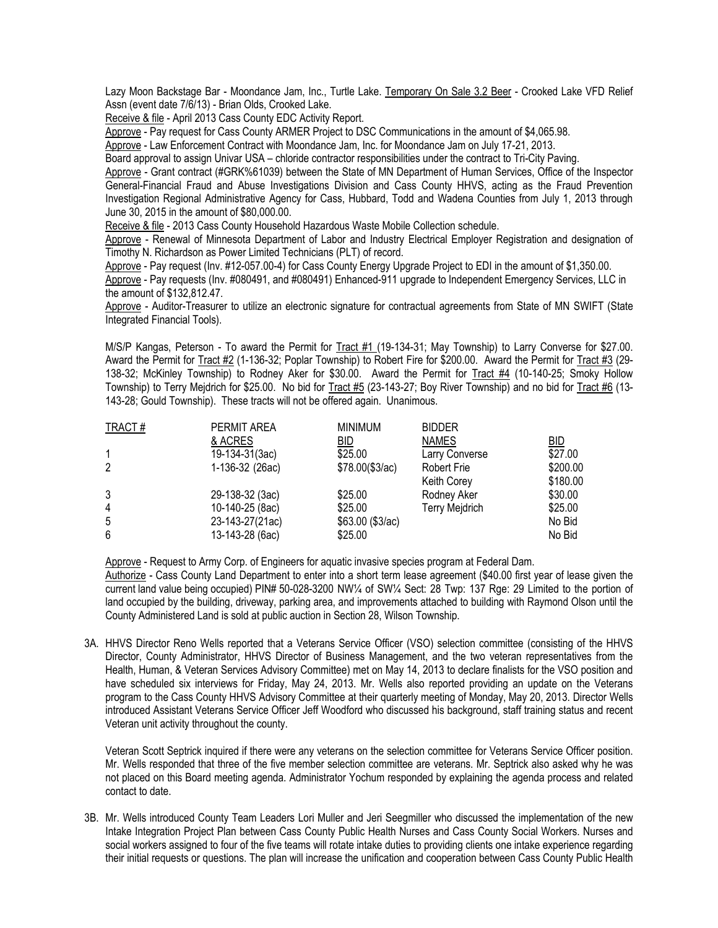Lazy Moon Backstage Bar - Moondance Jam, Inc., Turtle Lake. Temporary On Sale 3.2 Beer - Crooked Lake VFD Relief Assn (event date 7/6/13) - Brian Olds, Crooked Lake.

Receive & file - April 2013 Cass County EDC Activity Report.

Approve - Pay request for Cass County ARMER Project to DSC Communications in the amount of \$4,065.98.

Approve - Law Enforcement Contract with Moondance Jam, Inc. for Moondance Jam on July 17-21, 2013.

Board approval to assign Univar USA – chloride contractor responsibilities under the contract to Tri-City Paving.

Approve - Grant contract (#GRK%61039) between the State of MN Department of Human Services, Office of the Inspector General-Financial Fraud and Abuse Investigations Division and Cass County HHVS, acting as the Fraud Prevention Investigation Regional Administrative Agency for Cass, Hubbard, Todd and Wadena Counties from July 1, 2013 through June 30, 2015 in the amount of \$80,000.00.

Receive & file - 2013 Cass County Household Hazardous Waste Mobile Collection schedule.

Approve - Renewal of Minnesota Department of Labor and Industry Electrical Employer Registration and designation of Timothy N. Richardson as Power Limited Technicians (PLT) of record.

Approve - Pay request (Inv. #12-057.00-4) for Cass County Energy Upgrade Project to EDI in the amount of \$1,350.00.

Approve - Pay requests (Inv. #080491, and #080491) Enhanced-911 upgrade to Independent Emergency Services, LLC in the amount of \$132,812.47.

Approve - Auditor-Treasurer to utilize an electronic signature for contractual agreements from State of MN SWIFT (State Integrated Financial Tools).

M/S/P Kangas, Peterson - To award the Permit for Tract #1 (19-134-31; May Township) to Larry Converse for \$27.00. Award the Permit for Tract #2 (1-136-32; Poplar Township) to Robert Fire for \$200.00. Award the Permit for Tract #3 (29-138-32; McKinley Township) to Rodney Aker for \$30.00. Award the Permit for Tract #4 (10-140-25; Smoky Hollow Township) to Terry Mejdrich for \$25.00. No bid for Tract #5 (23-143-27; Boy River Township) and no bid for Tract #6 (13-143-28; Gould Township). These tracts will not be offered again. Unanimous.

| TRACT#         | PERMIT AREA     | <b>MINIMUM</b>   | <b>BIDDER</b>         |          |
|----------------|-----------------|------------------|-----------------------|----------|
|                | & ACRES         | <u>BID</u>       | <b>NAMES</b>          | BID      |
|                | 19-134-31(3ac)  | \$25.00          | <b>Larry Converse</b> | \$27.00  |
| $\overline{2}$ | 1-136-32 (26ac) | \$78.00 (\$3/ac) | <b>Robert Frie</b>    | \$200.00 |
|                |                 |                  | <b>Keith Corey</b>    | \$180.00 |
| 3              | 29-138-32 (3ac) | \$25.00          | Rodney Aker           | \$30.00  |
| $\overline{4}$ | 10-140-25 (8ac) | \$25.00          | <b>Terry Mejdrich</b> | \$25.00  |
| 5              | 23-143-27(21ac) | \$63.00 (\$3/ac) |                       | No Bid   |
| 6              | 13-143-28 (6ac) | \$25.00          |                       | No Bid   |

Approve - Request to Army Corp. of Engineers for aquatic invasive species program at Federal Dam.

Authorize - Cass County Land Department to enter into a short term lease agreement (\$40.00 first year of lease given the current land value being occupied) PIN# 50-028-3200 NW¼ of SW¼ Sect: 28 Twp: 137 Rge: 29 Limited to the portion of land occupied by the building, driveway, parking area, and improvements attached to building with Raymond Olson until the County Administered Land is sold at public auction in Section 28, Wilson Township.

3A. HHVS Director Reno Wells reported that a Veterans Service Officer (VSO) selection committee (consisting of the HHVS Director, County Administrator, HHVS Director of Business Management, and the two veteran representatives from the Health, Human, & Veteran Services Advisory Committee) met on May 14, 2013 to declare finalists for the VSO position and have scheduled six interviews for Friday, May 24, 2013. Mr. Wells also reported providing an update on the Veterans program to the Cass County HHVS Advisory Committee at their quarterly meeting of Monday, May 20, 2013. Director Wells introduced Assistant Veterans Service Officer Jeff Woodford who discussed his background, staff training status and recent Veteran unit activity throughout the county.

Veteran Scott Septrick inquired if there were any veterans on the selection committee for Veterans Service Officer position. Mr. Wells responded that three of the five member selection committee are veterans. Mr. Septrick also asked why he was not placed on this Board meeting agenda. Administrator Yochum responded by explaining the agenda process and related contact to date.

3B. Mr. Wells introduced County Team Leaders Lori Muller and Jeri Seegmiller who discussed the implementation of the new Intake Integration Project Plan between Cass County Public Health Nurses and Cass County Social Workers. Nurses and social workers assigned to four of the five teams will rotate intake duties to providing clients one intake experience regarding their initial requests or questions. The plan will increase the unification and cooperation between Cass County Public Health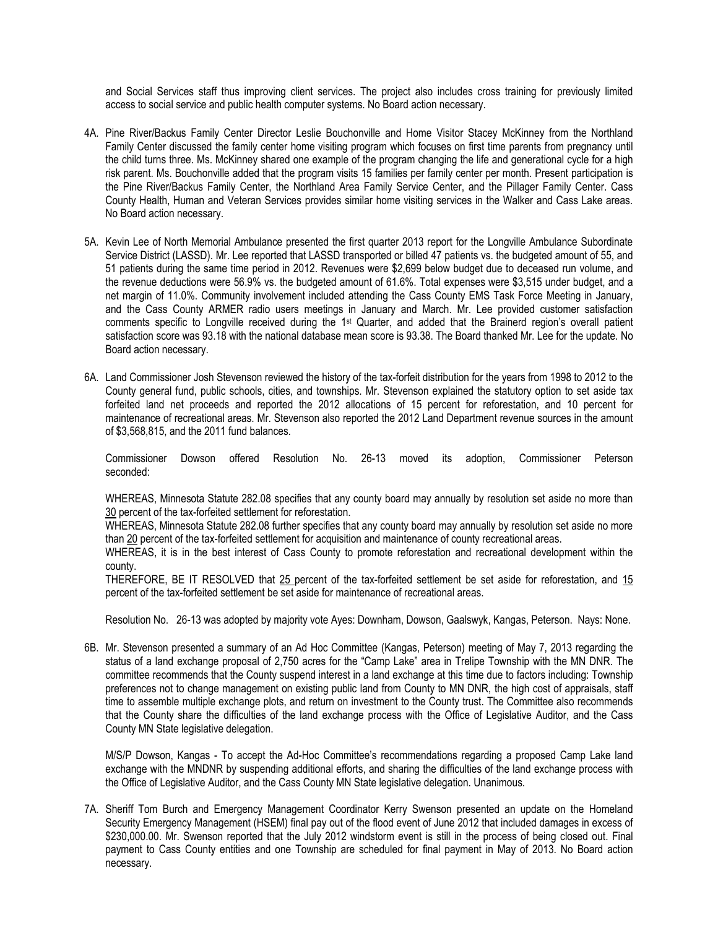and Social Services staff thus improving client services. The project also includes cross training for previously limited access to social service and public health computer systems. No Board action necessary.

- 4A. Pine River/Backus Family Center Director Leslie Bouchonville and Home Visitor Stacey McKinney from the Northland Family Center discussed the family center home visiting program which focuses on first time parents from pregnancy until the child turns three. Ms. McKinney shared one example of the program changing the life and generational cycle for a high risk parent. Ms. Bouchonville added that the program visits 15 families per family center per month. Present participation is the Pine River/Backus Family Center, the Northland Area Family Service Center, and the Pillager Family Center. Cass County Health, Human and Veteran Services provides similar home visiting services in the Walker and Cass Lake areas. No Board action necessary.
- 5A. Kevin Lee of North Memorial Ambulance presented the first quarter 2013 report for the Longville Ambulance Subordinate Service District (LASSD). Mr. Lee reported that LASSD transported or billed 47 patients vs. the budgeted amount of 55, and 51 patients during the same time period in 2012. Revenues were \$2,699 below budget due to deceased run volume, and the revenue deductions were 56.9% vs. the budgeted amount of 61.6%. Total expenses were \$3,515 under budget, and a net margin of 11.0%. Community involvement included attending the Cass County EMS Task Force Meeting in January, and the Cass County ARMER radio users meetings in January and March. Mr. Lee provided customer satisfaction comments specific to Longville received during the 1st Quarter, and added that the Brainerd region's overall patient satisfaction score was 93.18 with the national database mean score is 93.38. The Board thanked Mr. Lee for the update. No Board action necessary.
- 6A. Land Commissioner Josh Stevenson reviewed the history of the tax-forfeit distribution for the years from 1998 to 2012 to the County general fund, public schools, cities, and townships. Mr. Stevenson explained the statutory option to set aside tax forfeited land net proceeds and reported the 2012 allocations of 15 percent for reforestation, and 10 percent for maintenance of recreational areas. Mr. Stevenson also reported the 2012 Land Department revenue sources in the amount of \$3,568,815, and the 2011 fund balances.

Commissioner Dowson offered Resolution No. 26-13 moved its adoption, Commissioner Peterson seconded:

WHEREAS, Minnesota Statute 282.08 specifies that any county board may annually by resolution set aside no more than 30 percent of the tax-forfeited settlement for reforestation.

WHEREAS, Minnesota Statute 282.08 further specifies that any county board may annually by resolution set aside no more than 20 percent of the tax-forfeited settlement for acquisition and maintenance of county recreational areas.

WHEREAS, it is in the best interest of Cass County to promote reforestation and recreational development within the county.

THEREFORE, BE IT RESOLVED that 25 percent of the tax-forfeited settlement be set aside for reforestation, and 15 percent of the tax-forfeited settlement be set aside for maintenance of recreational areas.

Resolution No. 26-13 was adopted by majority vote Ayes: Downham, Dowson, Gaalswyk, Kangas, Peterson. Nays: None.

6B. Mr. Stevenson presented a summary of an Ad Hoc Committee (Kangas, Peterson) meeting of May 7, 2013 regarding the status of a land exchange proposal of 2,750 acres for the "Camp Lake" area in Trelipe Township with the MN DNR. The committee recommends that the County suspend interest in a land exchange at this time due to factors including: Township preferences not to change management on existing public land from County to MN DNR, the high cost of appraisals, staff time to assemble multiple exchange plots, and return on investment to the County trust. The Committee also recommends that the County share the difficulties of the land exchange process with the Office of Legislative Auditor, and the Cass County MN State legislative delegation.

M/S/P Dowson, Kangas - To accept the Ad-Hoc Committee's recommendations regarding a proposed Camp Lake land exchange with the MNDNR by suspending additional efforts, and sharing the difficulties of the land exchange process with the Office of Legislative Auditor, and the Cass County MN State legislative delegation. Unanimous.

7A. Sheriff Tom Burch and Emergency Management Coordinator Kerry Swenson presented an update on the Homeland Security Emergency Management (HSEM) final pay out of the flood event of June 2012 that included damages in excess of \$230,000.00. Mr. Swenson reported that the July 2012 windstorm event is still in the process of being closed out. Final payment to Cass County entities and one Township are scheduled for final payment in May of 2013. No Board action necessary.